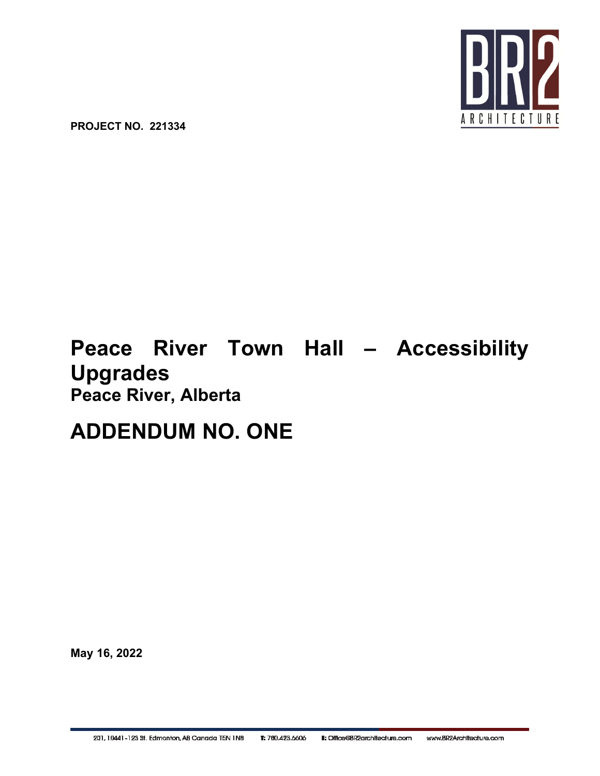

**PROJECT NO. 221334**

# **Peace River Town Hall – Accessibility Upgrades Peace River, Alberta**

# **ADDENDUM NO. ONE**

**May 16, 2022**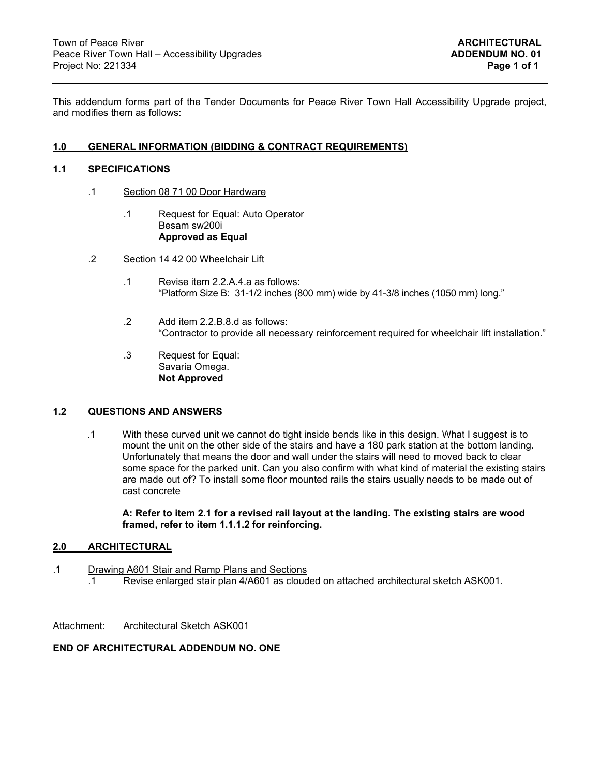This addendum forms part of the Tender Documents for Peace River Town Hall Accessibility Upgrade project, and modifies them as follows:

## **1.0 GENERAL INFORMATION (BIDDING & CONTRACT REQUIREMENTS)**

## **1.1 SPECIFICATIONS**

- .1 Section 08 71 00 Door Hardware
	- .1 Request for Equal: Auto Operator Besam sw200i  **Approved as Equal**
- .2 Section 14 42 00 Wheelchair Lift
	- .1 Revise item 2.2.A.4.a as follows: "Platform Size B: 31-1/2 inches (800 mm) wide by 41-3/8 inches (1050 mm) long."
	- .2 Add item 2.2.B.8.d as follows: "Contractor to provide all necessary reinforcement required for wheelchair lift installation."
	- .3 Request for Equal: Savaria Omega. **Not Approved**

#### **1.2 QUESTIONS AND ANSWERS**

.1 With these curved unit we cannot do tight inside bends like in this design. What I suggest is to mount the unit on the other side of the stairs and have a 180 park station at the bottom landing. Unfortunately that means the door and wall under the stairs will need to moved back to clear some space for the parked unit. Can you also confirm with what kind of material the existing stairs are made out of? To install some floor mounted rails the stairs usually needs to be made out of cast concrete

**A: Refer to item 2.1 for a revised rail layout at the landing. The existing stairs are wood framed, refer to item 1.1.1.2 for reinforcing.** 

#### **2.0 ARCHITECTURAL**

- .1 Drawing A601 Stair and Ramp Plans and Sections
	- .1 Revise enlarged stair plan 4/A601 as clouded on attached architectural sketch ASK001.

Attachment: Architectural Sketch ASK001

## **END OF ARCHITECTURAL ADDENDUM NO. ONE**